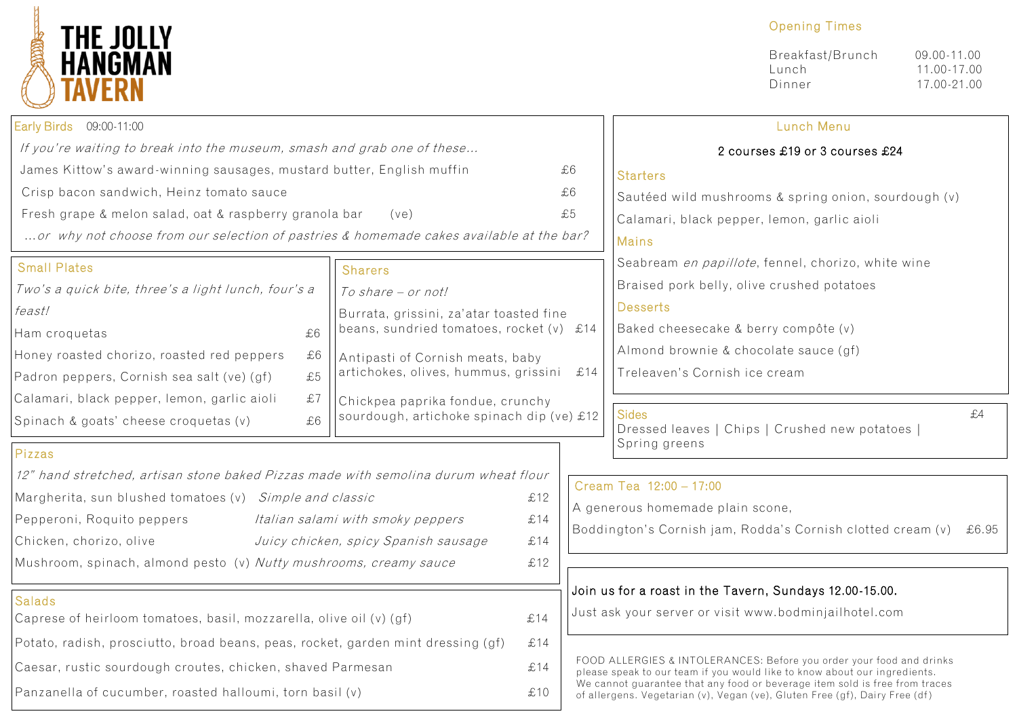

## Opening Times

| Breakfast/Brunch | $09.00 - 11.00$ |
|------------------|-----------------|
| Lunch            | 11.00-17.00     |
| Dinner           | 17.00-21.00     |

| Early Birds 09:00-11:00                                                                 |    |                                                                               |                                                                   |                                                                                                                                                          | Lunch Menu                                                                  |  |
|-----------------------------------------------------------------------------------------|----|-------------------------------------------------------------------------------|-------------------------------------------------------------------|----------------------------------------------------------------------------------------------------------------------------------------------------------|-----------------------------------------------------------------------------|--|
| If you're waiting to break into the museum, smash and grab one of these                 |    |                                                                               | 2 courses £19 or 3 courses £24                                    |                                                                                                                                                          |                                                                             |  |
| James Kittow's award-winning sausages, mustard butter, English muffin                   |    |                                                                               |                                                                   | £6                                                                                                                                                       | <b>Starters</b>                                                             |  |
| Crisp bacon sandwich, Heinz tomato sauce                                                |    |                                                                               |                                                                   | £6                                                                                                                                                       | Sautéed wild mushrooms & spring onion, sourdough (v)                        |  |
| Fresh grape & melon salad, oat & raspberry granola bar                                  |    | (ve)                                                                          |                                                                   | £5                                                                                                                                                       | Calamari, black pepper, lemon, garlic aioli                                 |  |
| or why not choose from our selection of pastries & homemade cakes available at the bar? |    |                                                                               |                                                                   | <b>Mains</b>                                                                                                                                             |                                                                             |  |
| <b>Small Plates</b>                                                                     |    | <b>Sharers</b>                                                                |                                                                   |                                                                                                                                                          | Seabream en papillote, fennel, chorizo, white wine                          |  |
| Two's a quick bite, three's a light lunch, four's a                                     |    | To share - or not!                                                            |                                                                   |                                                                                                                                                          | Braised pork belly, olive crushed potatoes                                  |  |
| feast!                                                                                  |    | Burrata, grissini, za'atar toasted fine                                       |                                                                   |                                                                                                                                                          | <b>Desserts</b>                                                             |  |
| Ham croquetas                                                                           | £6 | beans, sundried tomatoes, rocket $(v)$ £14                                    |                                                                   |                                                                                                                                                          | Baked cheesecake & berry compôte (v)                                        |  |
| Honey roasted chorizo, roasted red peppers                                              | £6 | Antipasti of Cornish meats, baby                                              |                                                                   |                                                                                                                                                          | Almond brownie & chocolate sauce (gf)                                       |  |
| Padron peppers, Cornish sea salt (ve) (gf)                                              | £5 | artichokes, olives, hummus, grissini<br>£14                                   |                                                                   |                                                                                                                                                          | Treleaven's Cornish ice cream                                               |  |
| Calamari, black pepper, lemon, garlic aioli                                             | £7 | Chickpea paprika fondue, crunchy<br>sourdough, artichoke spinach dip (ve) £12 |                                                                   |                                                                                                                                                          |                                                                             |  |
| Spinach & goats' cheese croquetas (v)                                                   | £6 |                                                                               |                                                                   |                                                                                                                                                          | <b>Sides</b><br>£4<br>Dressed leaves   Chips   Crushed new potatoes         |  |
| Pizzas                                                                                  |    |                                                                               |                                                                   |                                                                                                                                                          | Spring greens                                                               |  |
| 12" hand stretched, artisan stone baked Pizzas made with semolina durum wheat flour     |    |                                                                               |                                                                   |                                                                                                                                                          | Cream Tea 12:00 - 17:00                                                     |  |
| Margherita, sun blushed tomatoes (v) Simple and classic                                 |    |                                                                               | £12                                                               |                                                                                                                                                          |                                                                             |  |
| Pepperoni, Roquito peppers<br>Italian salami with smoky peppers                         |    | £14                                                                           |                                                                   | A generous homemade plain scone,                                                                                                                         |                                                                             |  |
| Chicken, chorizo, olive<br>Juicy chicken, spicy Spanish sausage                         |    | £14                                                                           | Boddington's Cornish jam, Rodda's Cornish clotted cream (v) £6.95 |                                                                                                                                                          |                                                                             |  |
| Mushroom, spinach, almond pesto (v) Nutty mushrooms, creamy sauce                       |    |                                                                               | £12                                                               |                                                                                                                                                          |                                                                             |  |
|                                                                                         |    |                                                                               |                                                                   |                                                                                                                                                          | Join us for a roast in the Tavern, Sundays 12.00-15.00.                     |  |
| <b>Salads</b>                                                                           |    |                                                                               | £14                                                               |                                                                                                                                                          | Just ask your server or visit www.bodminjailhotel.com                       |  |
| Caprese of heirloom tomatoes, basil, mozzarella, olive oil (v) (gf)                     |    |                                                                               |                                                                   |                                                                                                                                                          |                                                                             |  |
| Potato, radish, prosciutto, broad beans, peas, rocket, garden mint dressing (gf)        |    |                                                                               | £14                                                               |                                                                                                                                                          | FOOD ALLERGIES & INTOLERANCES: Before you order your food and drinks        |  |
| Caesar, rustic sourdough croutes, chicken, shaved Parmesan                              |    | £14                                                                           |                                                                   | please speak to our team if you would like to know about our ingredients.<br>We cannot guarantee that any food or beverage item sold is free from traces |                                                                             |  |
| Panzanella of cucumber, roasted halloumi, torn basil (v)                                |    |                                                                               | £10                                                               |                                                                                                                                                          | of allergens. Vegetarian (v), Vegan (ve), Gluten Free (gf), Dairy Free (df) |  |
|                                                                                         |    |                                                                               |                                                                   |                                                                                                                                                          |                                                                             |  |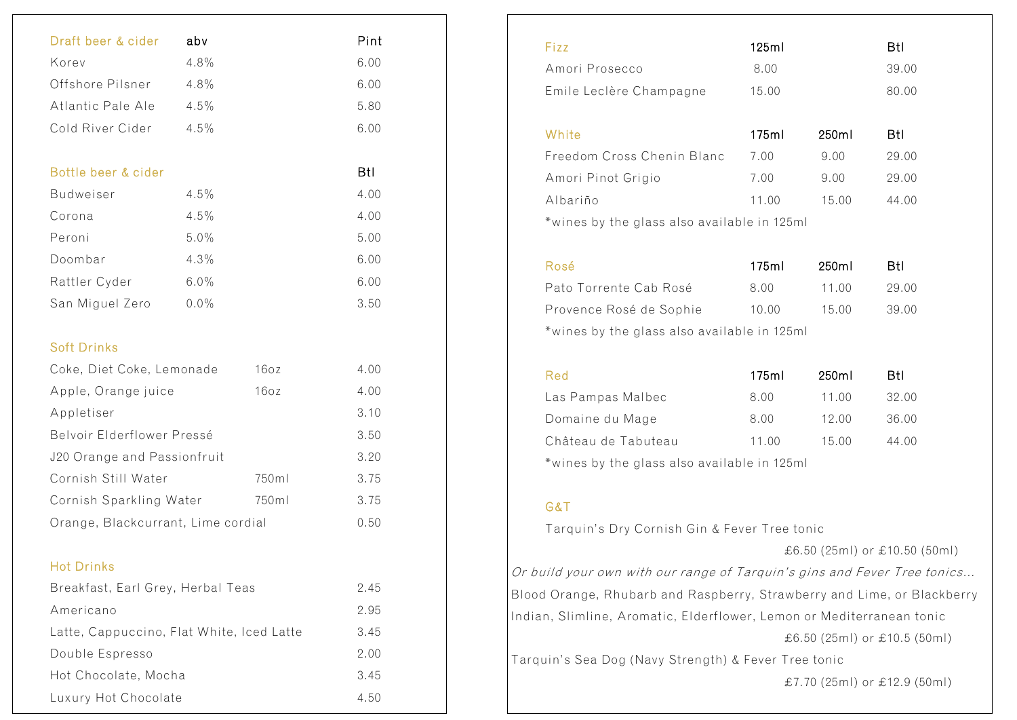| Draft beer & cider                        | abv     |       | Pint |
|-------------------------------------------|---------|-------|------|
| Korev                                     | 4.8%    |       | 6.00 |
| Offshore Pilsner                          | 4.8%    |       | 6.00 |
| Atlantic Pale Ale                         | 4.5%    |       | 5.80 |
| Cold River Cider                          | 4.5%    |       | 6.00 |
|                                           |         |       |      |
| Bottle beer & cider                       |         |       | Btl  |
| <b>Budweiser</b>                          | 4.5%    |       | 4.00 |
| Corona                                    | 4.5%    |       | 4.00 |
| Peroni                                    | 5.0%    |       | 5.00 |
| Doombar                                   | 4.3%    |       | 6.00 |
| Rattler Cyder                             | 6.0%    |       | 6.00 |
| San Miguel Zero                           | $0.0\%$ |       | 3.50 |
|                                           |         |       |      |
| <b>Soft Drinks</b>                        |         |       |      |
| Coke, Diet Coke, Lemonade                 |         | 16oz  | 4.00 |
| Apple, Orange juice                       |         | 16oz  | 4.00 |
| Appletiser                                |         |       | 3.10 |
| Belvoir Elderflower Pressé                |         |       | 3.50 |
| J20 Orange and Passionfruit               |         |       | 3.20 |
| Cornish Still Water                       |         | 750ml | 3.75 |
| Cornish Sparkling Water                   |         | 750ml | 3.75 |
| Orange, Blackcurrant, Lime cordial        |         |       | 0.50 |
|                                           |         |       |      |
| <b>Hot Drinks</b>                         |         |       |      |
| Breakfast, Earl Grey, Herbal Teas         |         |       | 2.45 |
| Americano                                 |         |       | 2.95 |
| Latte, Cappuccino, Flat White, Iced Latte |         |       | 3.45 |
| Double Espresso                           |         |       | 2.00 |
| Hot Chocolate, Mocha                      |         |       | 3.45 |
| Luxury Hot Chocolate                      |         |       | 4.50 |
|                                           |         |       |      |

| Fizz                                        | 125ml |       | Btl   |
|---------------------------------------------|-------|-------|-------|
| Amori Prosecco                              | 8.00  |       | 39.00 |
| Emile Leclère Champagne                     | 15.00 |       | 80.00 |
| White                                       | 175ml | 250ml | Btl   |
| Freedom Cross Chenin Blanc                  | 7.00  | 9.00  | 29.00 |
| Amori Pinot Grigio                          | 7.00  | 9.00  | 29.00 |
| Albariño                                    | 11.00 | 15.00 | 44.00 |
| *wines by the glass also available in 125ml |       |       |       |
| Rosé                                        | 175ml | 250ml | Btl   |

| nuse                                        | 170HH | ZOUITH | - D L L |  |
|---------------------------------------------|-------|--------|---------|--|
| Pato Torrente Cab Rosé                      | 8.00  | 11.00  | 29.00   |  |
| Provence Rosé de Sophie                     | 10.00 | 15.00  | 39.00   |  |
| *wines by the glass also available in 125ml |       |        |         |  |

| Red                                         | 175ml | 250ml | BtI.  |
|---------------------------------------------|-------|-------|-------|
| Las Pampas Malbec                           | 8.00  | 11.00 | 32.00 |
| Domaine du Mage                             | 8.00  | 12.00 | 36.00 |
| Château de Tabuteau                         | 11.00 | 15.00 | 44.00 |
| *wines by the glass also available in 125ml |       |       |       |

## G&T

Tarquin's Dry Cornish Gin & Fever Tree tonic

£6.50 (25ml) or £10.50 (50ml)

Or build your own with our range of Tarquin's gins and Fever Tree tonics… Blood Orange, Rhubarb and Raspberry, Strawberry and Lime, or Blackberry Indian, Slimline, Aromatic, Elderflower, Lemon or Mediterranean tonic

£6.50 (25ml) or £10.5 (50ml)

Tarquin's Sea Dog (Navy Strength) & Fever Tree tonic

£7.70 (25ml) or £12.9 (50ml)